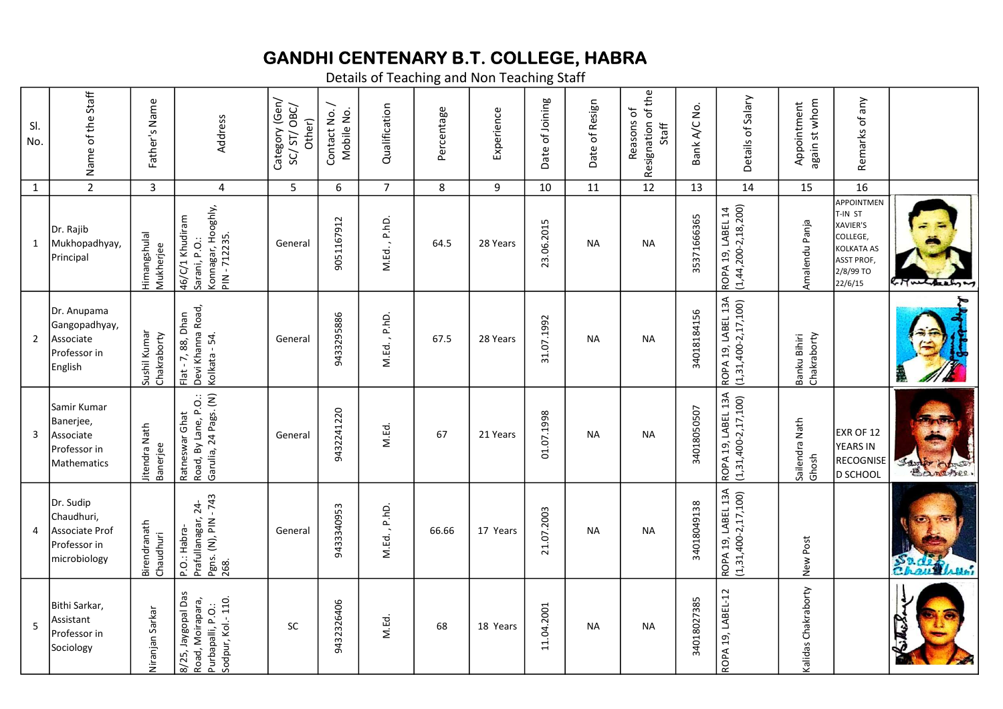## GANDHI CENTENARY B.T. COLLEGE, HABRA

Details of Teaching and Non Teaching Staff

| SI.<br>No.     | Name of the Staff                                                           | Father's Name               | Address                                                                          | Category (Gen/<br>SC/ST/OBC/<br>Other) | Contact No. /<br>Mobile No. | Qualification  | Percentage | Experience | Date of Joining | Date of Resign | Resignation of the<br>Reasons of<br>Staff | Bank A/C No. | Details of Salary                                 | again st whom<br>Appointment | Remarks of any                                                                                                 |            |  |
|----------------|-----------------------------------------------------------------------------|-----------------------------|----------------------------------------------------------------------------------|----------------------------------------|-----------------------------|----------------|------------|------------|-----------------|----------------|-------------------------------------------|--------------|---------------------------------------------------|------------------------------|----------------------------------------------------------------------------------------------------------------|------------|--|
| $\mathbf{1}$   | $\overline{2}$                                                              | $\overline{3}$              | $\overline{4}$                                                                   | 5                                      | 6                           | $\overline{7}$ | 8          | 9          | 10              | 11             | 12                                        | 13           | 14                                                | 15                           | 16                                                                                                             |            |  |
| 1              | Dr. Rajib<br>Mukhopadhyay,<br>Principal                                     | Himangshulal<br>Mukherjee   | Konnagar, Hooghly,<br>46/C/1 Khudiram<br>PIN-712235<br>Sarani, P.O.:             | General                                | 9051167912                  | M.Ed., P.hD.   | 64.5       | 28 Years   | .06.2015<br>23. | <b>NA</b>      | <b>NA</b>                                 | 35371666365  | $(1, 44, 200 - 2, 18, 200)$<br>ROPA 19, LABEL 14  | Amalendu Panja               | APPOINTMEN<br>T-IN ST<br>XAVIER'S<br>COLLEGE,<br><b>KOLKATA AS</b><br><b>ASST PROF</b><br>2/8/99 TO<br>22/6/15 | Hurthaly   |  |
| $\overline{2}$ | Dr. Anupama<br>Gangopadhyay,<br>Associate<br>Professor in<br>English        | Sushil Kumar<br>Chakraborty | Devi Khanna Road,<br>Flat - 7, 88, Dhan<br>Kolkata - 54.                         | General                                | 9433295886                  | M.Ed., P.hD.   | 67.5       | 28 Years   | 31.07.1992      | <b>NA</b>      | <b>NA</b>                                 | 34018184156  | ROPA 19, LABEL 13A<br>$(1,31,400-2,17,100)$       | Chakraborty<br>Banku Bihiri  |                                                                                                                |            |  |
| 3              | Samir Kumar<br>Banerjee,<br>Associate<br>Professor in<br><b>Mathematics</b> | Jitendra Nath<br>Banerjee   | Garulia, 24 Pags. (N)<br>Road, By Lane, P.O.:<br>Ratneswar Ghat                  | General                                | 9432241220                  | M.Ed.          | 67         | 21 Years   | 01.07.1998      | <b>NA</b>      | <b>NA</b>                                 | 34018050507  | ROPA 19, LABEL 13A<br>$(1, 31, 400 - 2, 17, 100)$ | Sailendra Nath<br>Ghosh      | EXR OF 12<br><b>YEARS IN</b><br>RECOGNISE<br><b>D SCHOOL</b>                                                   | Santo hino |  |
| 4              | Dr. Sudip<br>Chaudhuri,<br>Associate Prof<br>Professor in<br>microbiology   | Birendranath<br>Chaudhuri   | Pgns. (N), PIN - 743<br>Prafullanagar, 24-<br>P.O.: Habra-<br>268.               | General                                | 9433340953                  | M.Ed., P.hD.   | 66.66      | 17 Years   | 21.07.2003      | <b>NA</b>      | <b>NA</b>                                 | 34018049138  | ROPA 19, LABEL 13A<br>$(1,31,400-2,17,100)$       | New Post                     |                                                                                                                | ဦ          |  |
| 5              | Bithi Sarkar,<br>Assistant<br>Professor in<br> Sociology                    | Niranjan Sarkar             | 8/25, Jaygopal Das<br>Road, Moirapara,<br>Sodpur, Kol.-110.<br>Purbapalli, P.O.: | <b>SC</b>                              | 9432326406                  | M.Ed.          | 68         | 18 Years   | 11.04.2001      | NА             | <b>NA</b>                                 | 34018027385  | ROPA 19, LABEL-12                                 | Kalidas Chakraborty          |                                                                                                                |            |  |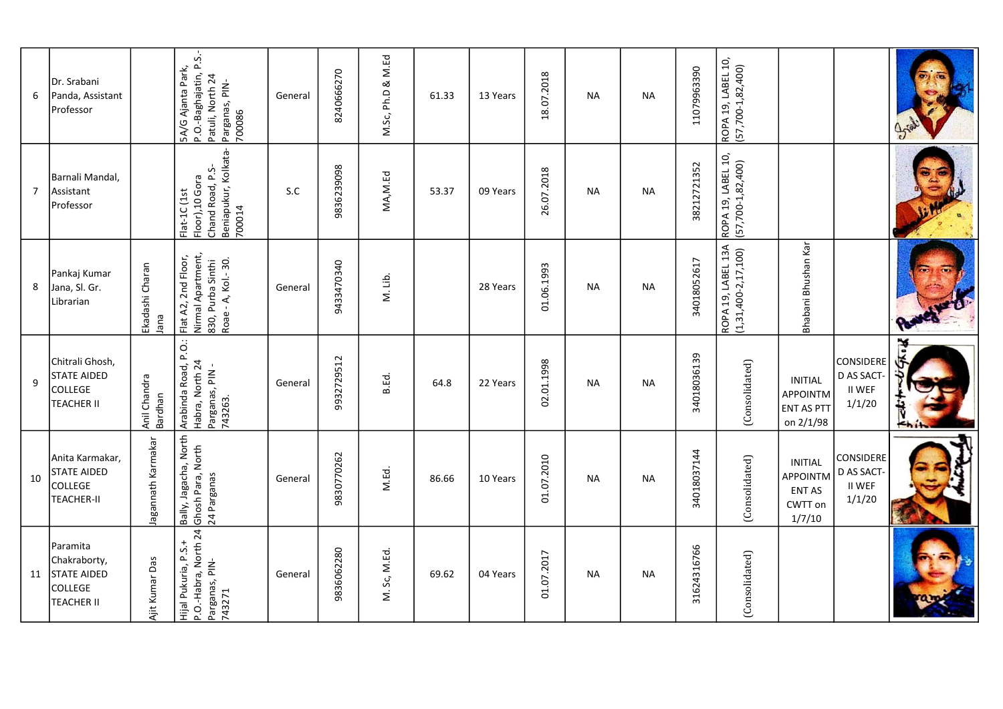| 6              | Dr. Srabani<br>Panda, Assistant<br>Professor                                          |                         | P.O.-Baghajatin, P.S.-<br>5A/G Ajanta Park,<br>Patuli, North 24<br>Parganas, PIN-<br>700086  | General | 8240666270 | M.Sc, Ph.D & M.Ed | 61.33 | 13 Years | 18.07.2018 | <b>NA</b> | <b>NA</b> | 11079963390 | ROPA 19, LABEL 10,<br>(57,700-1,82,400)           |                                                                  |                                                          |                                        |
|----------------|---------------------------------------------------------------------------------------|-------------------------|----------------------------------------------------------------------------------------------|---------|------------|-------------------|-------|----------|------------|-----------|-----------|-------------|---------------------------------------------------|------------------------------------------------------------------|----------------------------------------------------------|----------------------------------------|
| $\overline{7}$ | Barnali Mandal,<br>Assistant<br>Professor                                             |                         | Beniapukur, Kolkata-<br>Chand Road, P.S-<br>Floor),10 Gora<br>Flat-1C (1st<br>700014         | S.C     | 9836239098 | MA, M. Ed         | 53.37 | 09 Years | 26.07.2018 | <b>NA</b> | <b>NA</b> | 38212721352 | ROPA 19, LABEL 10,<br>(57,700-1,82,400)           |                                                                  |                                                          |                                        |
| 8              | Pankaj Kumar<br>Jana, Sl. Gr.<br>Librarian                                            | Ekadashi Charan<br>Jana | Nirmal Apartment,<br>2nd Floor,<br>Roae - A, Kol .- 30.<br>830, Purba Sinthi<br>Flat A2,     | General | 9433470340 | M. Lib.           |       | 28 Years | 01.06.1993 | NА        | NA        | 34018052617 | ROPA 19, LABEL 13A<br>$(1, 31, 400 - 2, 17, 100)$ | Bhabani Bhushan Kar                                              |                                                          |                                        |
| 9              | Chitrali Ghosh,<br><b>STATE AIDED</b><br>COLLEGE<br><b>TEACHER II</b>                 | Anil Chandra<br>Bardhan | Arabinda Road, P.O.:<br>Habra, North 24<br>Parganas, PIN -<br>743263.                        | General | 9932729512 | B.Ed.             | 64.8  | 22 Years | 02.01.1998 | NA        | <b>NA</b> | 34018036139 | (Consolidated)                                    | <b>INITIAL</b><br>APPOINTM<br><b>ENT AS PTT</b><br>on 2/1/98     | <b>CONSIDERE</b><br>D AS SACT<br><b>II WEF</b><br>1/1/20 | $\left  \epsilon_{\mathbf{h}} \right $ |
| 10             | Anita Karmakar,<br>STATE AIDED<br>COLLEGE<br><b>TEACHER-II</b>                        | Jagannath Karmakar      | Jagacha, North<br>  <mark>Bally, Jagacha, Nortl</mark><br>  Ghosh Para, North<br>24 Parganas | General | 9830770262 | M.Ed.             | 86.66 | 10 Years | 01.07.2010 | <b>NA</b> | <b>NA</b> | 34018037144 | (Consolidated)                                    | <b>INITIAL</b><br>APPOINTM<br><b>ENT AS</b><br>CWTT on<br>1/7/10 | CONSIDERE<br>D AS SACT-<br><b>II WEF</b><br>1/1/20       |                                        |
| 11             | Paramita<br>Chakraborty,<br><b>STATE AIDED</b><br><b>COLLEGE</b><br><b>TEACHER II</b> | Ajit Kumar Das          | P.O.-Habra, North 24<br>Hijal Pukuria, P.S.+<br>Parganas, PIN-<br>743271                     | General | 9836062280 | M. Sc, M.Ed.      | 69.62 | 04 Years | 01.07.2017 | <b>NA</b> | NА        | 31624316766 | (Consolidated)                                    |                                                                  |                                                          |                                        |